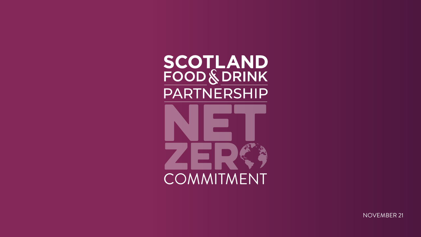



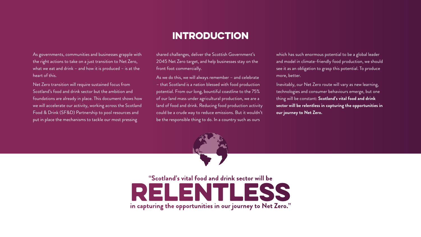**"Scotland's vital food and drink sector will be in capturing the opportunities in our journey to Net Zero."**

# INTRODUCTION



As governments, communities and businesses grapple with the right actions to take on a just transition to Net Zero, what we eat and drink – and how it is produced – is at the heart of this.

Net Zero transition will require sustained focus from Scotland's food and drink sector but the ambition and foundations are already in place. This document shows how we will accelerate our activity, working across the Scotland Food & Drink (SF&D) Partnership to pool resources and put in place the mechanisms to tackle our most pressing

As we do this, we will always remember - and celebrate – that Scotland is a nation blessed with food production potential. From our long, bountiful coastline to the 75% of our land mass under agricultural production, we are a land of food and drink. Reducing food production activity could be a crude way to reduce emissions. But it wouldn't be the responsible thing to do. In a country such as ours

which has such enormous potential to be a global leader and model in climate-friendly food production, we should see it as an obligation to grasp this potential. To produce more, better.

shared challenges, deliver the Scottish Government's 2045 Net Zero target, and help businesses stay on the front foot commercially.

> Inevitably, our Net Zero route will vary as new learning, technologies and consumer behaviours emerge, but one thing will be constant: **Scotland's vital food and drink sector will be relentless in capturing the opportunities in our journey to Net Zero.**

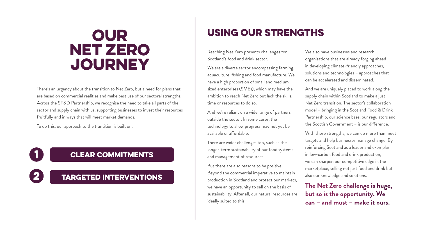Reaching Net Zero presents challenges for Scotland's food and drink sector.

We are a diverse sector encompassing farming, aquaculture, fishing and food manufacture. We have a high proportion of small and medium sized enterprises (SMEs), which may have the ambition to reach Net Zero but lack the skills, time or resources to do so.

And we're reliant on a wide range of partners outside the sector. In some cases, the technology to allow progress may not yet be available or affordable.

There are wider challenges too, such as the longer-term sustainability of our food systems and management of resources.

We also have businesses and research organisations that are already forging ahead in developing climate-friendly approaches, solutions and technologies – approaches that can be accelerated and disseminated.

But there are also reasons to be positive. Beyond the commercial imperative to maintain production in Scotland and protect our markets, we have an opportunity to sell on the basis of sustainability. After all, our natural resources are ideally suited to this.

# USING OUR STRENGTHS

And we are uniquely placed to work along the supply chain within Scotland to make a just Net Zero transition. The sector's collaboration model – bringing in the Scotland Food & Drink Partnership, our science base, our regulators and the Scottish Government – is our difference.

With these strengths, we can do more than meet targets and help businesses manage change. By reinforcing Scotland as a leader and exemplar in low-carbon food and drink production, we can sharpen our competitive edge in the marketplace, selling not just food and drink but also our knowledge and solutions.

### **The Net Zero challenge is huge, but so is the opportunity. We can – and must – make it ours.**

# OUR NET ZERO JOURNEY

There's an urgency about the transition to Net Zero, but a need for plans that are based on commercial realities and make best use of our sectoral strengths. Across the SF&D Partnership, we recognise the need to take all parts of the sector and supply chain with us, supporting businesses to invest their resources fruitfully and in ways that will meet market demands.

To do this, our approach to the transition is built on:

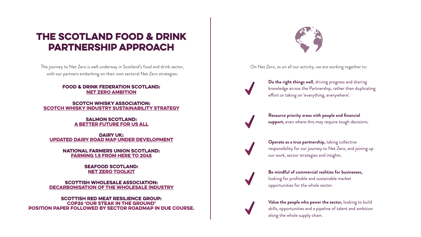On Net Zero, as on all our activity, we are working together to:



### THE SCOTLAND FOOD & DRINK PARTNERSHIP APPROACH

The journey to Net Zero is well underway in Scotland's food and drink sector, with our partners embarking on their own sectoral Net Zero strategies:

DAIRY UK: [Updated Dairy Road Map under development](https://www.dairyuk.org/wp-content/uploads/2021/11/Dairy-Roadmap-Climate-Ambition-Final-Version.pdf)

#### Food & Drink Federation Scotland: [Net Zero Ambition](https://www.fdf.org.uk/globalassets/resources/webinars/webinar-the-road-to-net-zero-for-food-and-drink-slides.pdf)

#### SCOTCH WHISKY ASSOCIATION: SCOTCH WHISKY INDUSTRY SUSTAINABILITY STRATEGY

#### Salmon Scotland: [A Better Future For Us All](https://www.salmonscotland.co.uk/betterfuture)

**Operate as a true partnership, taking collective** responsibility for our journey to Net Zero, and joining up our work, sector strategies and insights.



Seafood Scotland: [Net zero toolkit](https://www.seafoodscotland.org/talking-about-net-zero/)

Scottish Red Meat Resilience Group: COP26 'Our Steak In The Ground' Position Paper followed by Sector Roadmap in due course.



SCOTTISH WHOLESALE ASSOCIATION: [Decarbonisation of the Wholesale Industry](https://www.scottishwholesale.co.uk/news/posts/2021/october/swa-launch-fleets-decarbonisation-report-sector-roadmap-to-net-zero/) **Do the right things well**, driving progress and sharing knowledge across the Partnership, rather than duplicating effort or taking on 'everything, everywhere'.



**Be mindful of commercial realities for businesses,**  looking for profitable and sustainable market opportunities for the whole sector.



**Value the people who power the sector,** looking to build skills, opportunities and a pipeline of talent and ambition along the whole supply chain.

**Resource priority areas with people and financial support,** even where this may require tough decisions.



National Farmers Union Scotland: [Farming 1.5 From Here To 2045](https://a7353cf8-3f00-4057-ba25-219e031620a6.usrfiles.com/ugd/a7353c_db9fa0546fb2487dbf014e8cc4865019.pdf)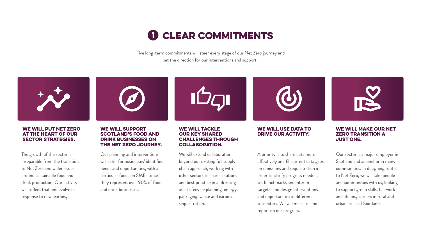

Five long-term commitments will steer every stage of our Net Zero journey and set the direction for our interventions and support:



#### **WE WILL PUT NET ZERO AT THE HEART OF OUR SECTOR STRATEGIES.**

The growth of the sector is inseparable from the transition to Net Zero and wider issues around sustainable food and drink production. Our activity will reflect that and evolve in response to new learning.



#### **WE WILL SUPPORT SCOTLAND'S FOOD AND DRINK BUSINESSES ON** THE NET ZERO JOURNEY.

Our planning and interventions will cater for businesses' identified needs and opportunities, with a particular focus on SMEs since they represent over 90% of food and drink businesses.

#### **WE WILL TACKLE OUR KEY SHARED CHALLENGES THROUGH COLLABORATION.**

We will extend collaboration beyond our existing full supply chain approach, working with other sectors to share solutions and best practice in addressing asset lifecycle planning, energy, packaging, waste and carbon sequestration.

# **1 CLEAR COMMITMENTS**





#### **WE WILL USE DATA TO DRIVE OUR ACTIVITY.**

A priority is to share data more effectively and fill current data gaps on emissions and sequestration in order to clarify progress needed, set benchmarks and interim targets, and design interventions and opportunities in different subsectors. We will measure and report on our progress.



#### **WE WILL MAKE OUR NET ZERO TRANSITION A** JUST ONE.

Our sector is a major employer in Scotland and an anchor in many communities. In designing routes to Net Zero, we will take people and communities with us, looking to support green skills, fair work and lifelong careers in rural and urban areas of Scotland.

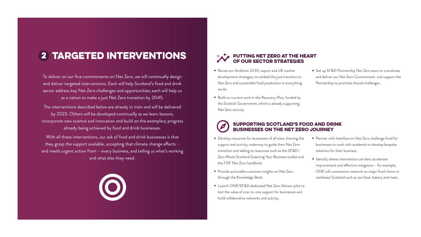To deliver on our five commitments on Net Zero, we will continually design and deliver targeted interventions. Each will help Scotland's food and drink sector address key Net Zero challenges and opportunities; each will help us as a nation to make a just Net Zero transition by 2045.

The interventions described below are already in train and will be delivered by 2023. Others will be developed continually as we learn lessons, incorporate new science and innovation and build on the exemplary progress already being achieved by food and drink businesses.

With all these interventions, our ask of food and drink businesses is that they grasp the support available, accepting that climate change affects – and needs urgent action from – every business, and telling us what's working and what else they need.





#### Supporting Scotland's food and drink businesses on the Net Zero journey

- Revise our Ambition 2030, export and UK market development strategies, to embed the just transition to Net Zero and sustainable food production in everything we do.
- Set up SF&D Partnership Net Zero team to coordinate and deliver our Net Zero Commitment and support the Partnership to prioritise shared challenges.
- Build on current work in the Recovery Plan, funded by the Scottish Government, which is already supporting Net Zero activity.

- Develop resources for businesses of all sizes, showing the support and activity underway to guide their Net Zero transition and adding to resources such as the SF&D / Zero Waste Scotland Greening Your Business toolkit and the FDF Net Zero handbook.
- Provide actionable customer insights on Net Zero through the Knowledge Bank.
- Launch ONE/SF&D dedicated Net Zero Advisor pilot to test the value of one-to-one support for businesses and build collaborative networks and activity.
- Partner with Interface on Net Zero challenge fund for businesses to work with academia to develop bespoke solutions for their business.
- Identify where intervention can best accelerate improvement and effective mitigation – for example, ONE will commission research on major food chains in northeast Scotland such as sea food, bakery and meat.

# 2 targeted interventions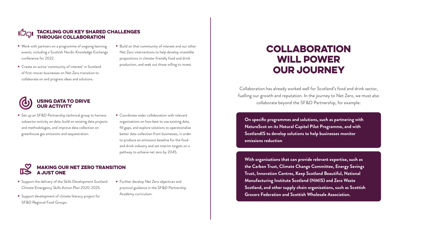#### Using data to drive our activity

#### Making our Net Zero transition a just one

- Set up an SF&D Partnership technical group to harness subsector activity on data, build on existing data projects and methodologies, and improve data collection on greenhouse gas emissions and sequestration.
- Coordinate wider collaboration with relevant organisations on how best to use existing data, fill gaps, and explore solutions to operationalise better data collection from businesses, in order to produce an emissions baseline for the food and drink industry and set interim targets on a pathway to achieve net zero by 2045.

- Support the delivery of the Skills Development Scotland Climate Emergency Skills Action Plan 2020-2025.
- Support development of climate literacy project for SF&D Regional Food Groups.
- Further develop Net Zero objectives and practical guidance in the SF&D Partnership Academy curriculum.

#### Tackling our key shared challenges through collaboration

- Work with partners on a programme of ongoing learning events, including a Scottish Nordic Knowledge Exchange conference for 2022.
- Create an active 'community of interest' in Scotland of first-mover businesses on Net Zero transition to collaborate on and progress ideas and solutions.
- Build on that community of interest and our other Net Zero interventions to help develop investible propositions in climate-friendly food and drink production, and seek out those willing to invest.



Collaboration has already worked well for Scotland's food and drink sector, fuelling our growth and reputation. In the journey to Net Zero, we must also collaborate beyond the SF&D Partnership, for example:

### COLLABORATION WILL POWER OUR JOURNEY

**On specific programmes and solutions, such as partnering with NatureScot on its Natural Capital Pilot Programme, and with ScotlandIS to develop solutions to help businesses monitor emissions reduction**

**With organisations that can provide relevant expertise, such as the Carbon Trust, Climate Change Committee, Energy Savings Trust, Innovation Centres, Keep Scotland Beautiful, National Manufacturing Institute Scotland (NMIS) and Zero Waste Scotland, and other supply chain organisations, such as Scottish Grocers Federation and Scottish Wholesale Association.**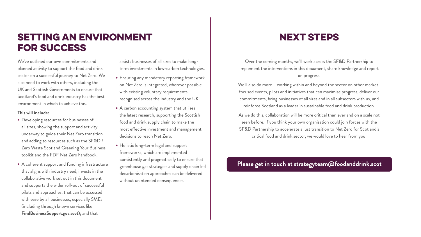We've outlined our own commitments and planned activity to support the food and drink sector on a successful journey to Net Zero. We also need to work with others, including the UK and Scottish Governments to ensure that Scotland's food and drink industry has the best environment in which to achieve this.

#### **This will include:**

## SETTING AN ENVIRONMENT FOR SUCCESS

- Developing resources for businesses of all sizes, showing the support and activity underway to guide their Net Zero transition and adding to resources such as the SF&D / Zero Waste Scotland Greening Your Business toolkit and the FDF Net Zero handbook.
- A coherent support and funding infrastructure that aligns with industry need, invests in the collaborative work set out in this document and supports the wider roll-out of successful pilots and approaches; that can be accessed with ease by all businesses, especially SMEs (including through known services like **[FindBusinessSupport.gov.scot](http://www.FindBusinessSupport.gov.scot))**; and that

assists businesses of all sizes to make longterm investments in low-carbon technologies.

> We'll also do more - working within and beyond the sector on other marketfocused events, pilots and initiatives that can maximise progress, deliver our commitments, bring businesses of all sizes and in all subsectors with us, and reinforce Scotland as a leader in sustainable food and drink production.

- Ensuring any mandatory reporting framework on Net Zero is integrated, wherever possible with existing voluntary requirements recognised across the industry and the UK
- A carbon accounting system that utilises the latest research, supporting the Scottish food and drink supply chain to make the most effective investment and management decisions to reach Net Zero.
- Holistic long-term legal and support frameworks, which are implemented consistently and pragmatically to ensure that greenhouse gas strategies and supply chain led decarbonisation approaches can be delivered without unintended consequences.

# **NEXT STEPS**

Over the coming months, we'll work across the SF&D Partnership to implement the interventions in this document, share knowledge and report on progress.

As we do this, collaboration will be more critical than ever and on a scale not seen before. If you think your own organisation could join forces with the SF&D Partnership to accelerate a just transition to Net Zero for Scotland's critical food and drink sector, we would love to hear from you.

#### **[Please get in touch at strategyteam@foodanddrink.scot](mailto:strategyteam%40foodanddrink.scot?subject=)**